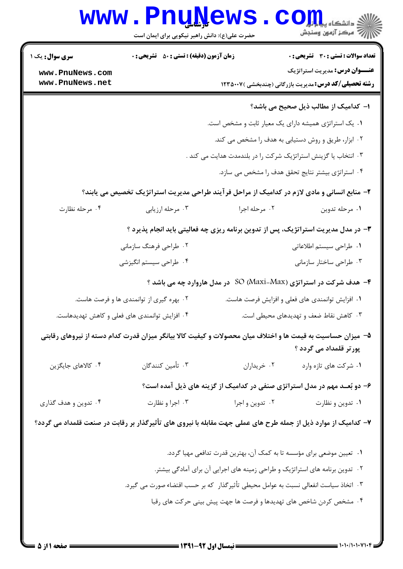|                                                                                     | <b>www.PnuNews</b><br>حضرت علی(ع): دانش راهبر نیکویی برای ایمان است                                            |                 | دانشڪار پي <mark>ا پار</mark><br>اڳ مرڪز آزمون وسنجش                                                  |  |
|-------------------------------------------------------------------------------------|----------------------------------------------------------------------------------------------------------------|-----------------|-------------------------------------------------------------------------------------------------------|--|
| سری سوال: یک ۱                                                                      | <b>زمان آزمون (دقیقه) : تستی : 50 ٪ تشریحی : 0</b>                                                             |                 | <b>تعداد سوالات : تستی : 30 ٪ تشریحی : 0</b>                                                          |  |
| www.PnuNews.com<br>www.PnuNews.net                                                  |                                                                                                                |                 | <b>عنـــوان درس:</b> مدیریت استراتژیک<br><b>رشته تحصیلی/کد درس:</b> مدیریت بازرگانی (چندبخشی )۱۲۳۵۰۰۷ |  |
|                                                                                     |                                                                                                                |                 | ا– کدامیک از مطالب ذیل صحیح می باشد؟                                                                  |  |
|                                                                                     |                                                                                                                |                 | ۰۱ یک استراتژی همیشه دارای یک معیار ثابت و مشخص است.                                                  |  |
|                                                                                     |                                                                                                                |                 | ۰۲ ابزار، طریق و روش دستیابی به هدف را مشخص می کند.                                                   |  |
|                                                                                     | ۰۳ انتخاب یا گزینش استراتژیک شرکت را در بلندمدت هدایت می کند .                                                 |                 |                                                                                                       |  |
|                                                                                     |                                                                                                                |                 | ۰۴ استراتژی بیشتر نتایج تحقق هدف را مشخص می سازد.                                                     |  |
|                                                                                     | ۲- منابع انسانی و مادی لازم در کدامیک از مراحل فرآیند طراحی مدیریت استراتژیک تخصیص می یابند؟                   |                 |                                                                                                       |  |
| ۰۴ مرحله نظارت                                                                      | ۰۳ مرحله ارزيابي                                                                                               | ۰۲ مرحله اجرا   | ٠١ مرحله تدوين                                                                                        |  |
|                                                                                     | ۳- در مدل مدیریت استراتژیک، پس از تدوین برنامه ریزی چه فعالیتی باید انجام پذیرد ؟                              |                 |                                                                                                       |  |
|                                                                                     | ۰۲ طراحی فرهنگ سازمانی                                                                                         |                 | ١. طراحي سيستم اطلاعاتي                                                                               |  |
|                                                                                     | ۰۴ طراحی سیستم انگیزشی                                                                                         |                 | ۰۳ طراحی ساختار سازمانی                                                                               |  |
|                                                                                     |                                                                                                                |                 | ۴- هدف شرکت در استراتژی (Maxi-Max) SO در مدل هاروارد چه می باشد ؟                                     |  |
|                                                                                     | ۲. بهره گیری از توانمندی ها و فرصت هاست.                                                                       |                 | ۰۱ افزایش توانمندی های فعلی و افزایش فرصت هاست.                                                       |  |
|                                                                                     | ۴. افزایش توانمندی های فعلی و کاهش تهدیدهاست.                                                                  |                 | ۰۳ کاهش نقاط ضعف و تهدیدهای محیطی است.                                                                |  |
|                                                                                     | ۵– میزان حساسیت به قیمت ها و اختلاف میان محصولات و کیفیت کالا بیانگر میزان قدرت کدام دسته از نیروهای رقابتی    |                 | پور تر قلمداد می گردد ؟                                                                               |  |
| ۰۴ کالاهای جایگزین                                                                  | ۰۳ تأمین کنندگان                                                                                               | ٠٢ خريداران     | ٠١ شركت هاي تازه وارد                                                                                 |  |
|                                                                                     |                                                                                                                |                 | ۶- دو بُعــد مهم در مدل استراتژی صنفی در کدامیک از گزینه های ذیل آمده است؟                            |  |
| ۰۴ تدوین و هدف گذاری                                                                | ۰۳ اجرا و نظارت                                                                                                | ۰۲ تدوین و اجرا | ۰۱ تدوین و نظارت                                                                                      |  |
|                                                                                     | ۷– کدامیک از موارد ذیل از جمله طرح های عملی جهت مقابله با نیروی های تأثیرگذار بر رقابت در صنعت قلمداد می گردد؟ |                 |                                                                                                       |  |
|                                                                                     |                                                                                                                |                 | ۰۱ تعیین موضعی برای مؤسسه تا به کمک آن، بهترین قدرت تدافعی مهیا گردد.                                 |  |
|                                                                                     | ۰۲ تدوین برنامه های استراتژیک و طراحی زمینه های اجرایی آن برای آمادگی بیشتر.                                   |                 |                                                                                                       |  |
| ۰۳ اتخاذ سیاست انفعالی نسبت به عوامل محیطی تأثیرگذار که بر حسب اقتضاء صورت می گیرد. |                                                                                                                |                 |                                                                                                       |  |
|                                                                                     |                                                                                                                |                 | ۰۴ مشخص کردن شاخص های تهدیدها و فرصت ها جهت پیش بینی حرکت های رقبا                                    |  |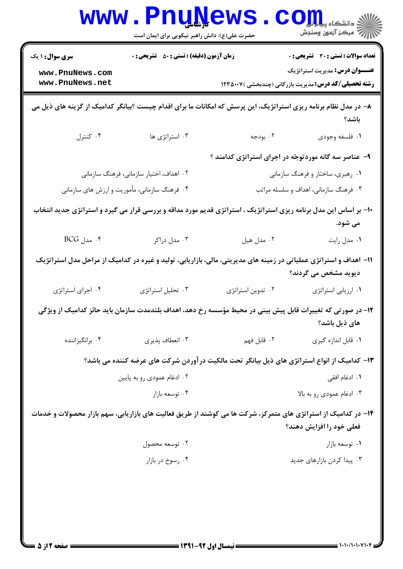|                                                                                                                          | <b>www.PnuNews</b><br>حضرت علی(ع): دانش راهبر نیکویی برای ایمان است |                   | ی دانشگاه پ <b>یا پال</b><br>أأأأ مركز آزمون وسنجش                                                                                        |
|--------------------------------------------------------------------------------------------------------------------------|---------------------------------------------------------------------|-------------------|-------------------------------------------------------------------------------------------------------------------------------------------|
| <b>سری سوال : ۱ یک</b>                                                                                                   | <b>زمان آزمون (دقیقه) : تستی : 80 ٪ تشریحی : 0</b>                  |                   | <b>تعداد سوالات : تستی : 30 ٪ تشریحی : 0</b>                                                                                              |
| www.PnuNews.com<br>www.PnuNews.net                                                                                       |                                                                     |                   | <b>عنـــوان درس:</b> مدیریت استراتژیک<br><b>رشته تحصیلی/کد درس:</b> مدیریت بازرگانی (چندبخشی )۱۲۳۵۰۰۷                                     |
| ۸– در مدل نظام برنامه ریزی استراتژیک، این پرسش که امکانات ما برای اقدام چیست ؟بیانگر کدامیک از گزینه های ذیل می<br>باشد؟ |                                                                     |                   |                                                                                                                                           |
| ۰۴ کنترل                                                                                                                 | ۰۳ استراتژی ها                                                      | ۰۲ بودجه          | ٠١ فلسفه وجودي                                                                                                                            |
|                                                                                                                          |                                                                     |                   | ۹- عناصر سه گانه موردتوجّه در اجرای استراتژی کدامند ؟                                                                                     |
|                                                                                                                          | ۰۲ اهداف، اختیار سازمانی، فرهنگ سازمانی                             |                   | ۰۱ رهبری، ساختار و فرهنگ سازمانی                                                                                                          |
| ۰۴ فرهنگ سازمانی، مأموریت و ارزش های سازمانی                                                                             |                                                                     |                   | ۰۳ فرهنگ سازمانی، اهداف و سلسله مراتب                                                                                                     |
|                                                                                                                          |                                                                     |                   | +۱- بر اساس این مدل برنامه ریزی استراتژیک ، استراتژی قدیم مورد مداقه و بررسی قرار می گیرد و استراتژی جدید انتخاب<br>می شود.               |
| $BCG$ ، مدل $\cdot$                                                                                                      | ۰۳ مدل دراکر                                                        | ۰۲ مدل هيل        | ۰۱ مدل رایت                                                                                                                               |
|                                                                                                                          |                                                                     |                   | 1۱– اهداف و استراتژی عملیاتی در زمینه های مدیریتی، مالی، بازاریابی، تولید و غیره در کدامیک از مراحل مدل استراتژیک<br>دیوید مشخص می گردند؟ |
| ۰۴ اجرای استراتژی                                                                                                        | ۰۳ تحلیل استراتژی                                                   | ۰۲ تدوین استراتژی | ۰۱ ارزیابی استراتژی                                                                                                                       |
|                                                                                                                          |                                                                     |                   | ۱۲– در صورتی که تغییرات قابل پیش بینی در محیط مؤسسه رخ دهد، اهداف بلندمدت سازمان باید حائز کدامیک از ویژگی<br>های ذیل باشد؟               |
| ۰۴ برانگیزاننده                                                                                                          | ۰۳ انعطاف پذیری                                                     | ٢. قابل فهم       | ۰۱ قابل اندازه گیری                                                                                                                       |
|                                                                                                                          |                                                                     |                   | ۱۳– کدامیک از انواع استراتژی های ذیل بیانگر تحت مالکیت در آوردن شرکت های عرضه کننده می باشد؟                                              |
|                                                                                                                          | ۰۲ ادغام عمودی رو به پایین                                          |                   | ۰۱ ادغام افقی                                                                                                                             |
|                                                                                                                          | ۰۴ توسعه بازار                                                      |                   | ۰۳ ادغام عمودي رو به بالا                                                                                                                 |
| ۱۴– در کدامیک از استراتژی های متمرکز، شرکت ها می کوشند از طریق فعالیت های بازاریابی، سهم بازار محصولات و خدمات           |                                                                     |                   | فعلی خود را افزایش دهند؟                                                                                                                  |
|                                                                                                                          | ۰۲ توسعه محصول                                                      |                   | ۰۱ توسعه بازار                                                                                                                            |
|                                                                                                                          | ۰۴ رسوخ در بازار                                                    |                   | ۰۳ پیدا کردن بازارهای جدید                                                                                                                |
|                                                                                                                          |                                                                     |                   |                                                                                                                                           |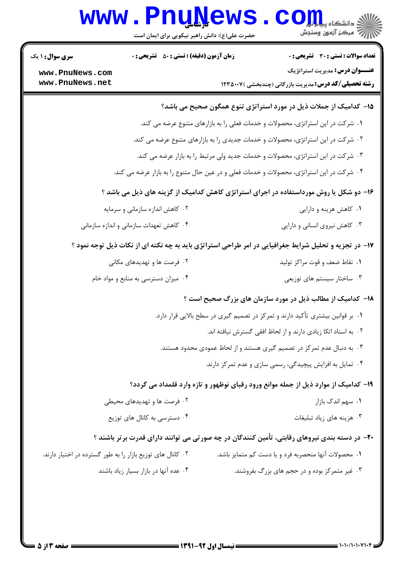## Www.PnuNews.com

| <b>سری سوال : ۱ یک</b>                                                                 | <b>زمان آزمون (دقیقه) : تستی : 50 ٪ تشریحی : 0</b>                               |  | <b>تعداد سوالات : تستی : 30 ٪ تشریحی : 0</b>                                                          |
|----------------------------------------------------------------------------------------|----------------------------------------------------------------------------------|--|-------------------------------------------------------------------------------------------------------|
| www.PnuNews.com                                                                        |                                                                                  |  | <b>عنـــوان درس:</b> مدیریت استراتژیک                                                                 |
| www.PnuNews.net                                                                        |                                                                                  |  | <b>رشته تحصیلی/کد درس:</b> مدیریت بازرگانی (چندبخشی ) ۱۲۳۵۰۰۷                                         |
|                                                                                        |                                                                                  |  | ۱۵– کدامیک از جملات ذیل در مورد استراتژی تنوع همگون صحیح می باشد؟                                     |
|                                                                                        |                                                                                  |  | ۰۱ شرکت در این استراتژی، محصولات و خدمات فعلی را به بازارهای متنوع عرضه می کند.                       |
|                                                                                        | ۲۰ شرکت در این استراتژی، محصولات و خدمات جدیدی را به بازارهای متنوع عرضه می کند. |  |                                                                                                       |
|                                                                                        |                                                                                  |  | ۰۳ شرکت در این استراتژی، محصولات و خدمات جدید ولی مرتبط را به بازار عرضه می کند.                      |
|                                                                                        |                                                                                  |  | ۰۴ شرکت در این استراتژی، محصولات و خدمات فعلی و در عین حال متنوع را به بازار عرضه می کند.             |
| ۱۶- دو شکل یا روش مورداستفاده در اجرای استراتژی کاهش کدامیک از گزینه های ذیل می باشد ؟ |                                                                                  |  |                                                                                                       |
|                                                                                        | ۰۲ کاهش اندازه سازمانی و سرمایه                                                  |  | ۰۱ کاهش هزینه و دارایی                                                                                |
|                                                                                        | ۰۴ کاهش تعهدات سازمانی و اندازه سازمانی                                          |  | ۰۳ کاهش نیروی انسانی و دارایی                                                                         |
|                                                                                        |                                                                                  |  | ۱۷- در تجزیه و تحلیل شرایط جغرافیایی در امر طراحی استراتژی باید به چه نکته ای از نکات ذیل توجه نمود ؟ |
|                                                                                        | ۰۲ فرصت ها و تهدیدهای مکانی                                                      |  | ۰۱ نقاط ضعف و قوت مراكز توليد                                                                         |
|                                                                                        | ۰۴ میزان دسترسی به منابع و مواد خام                                              |  | ۰۳ ساختار سیستم های توزیعی                                                                            |
|                                                                                        |                                                                                  |  | <b>۱۸</b> - کدامیک از مطالب ذیل در مورد سازمان های بزرگ صحیح است ؟                                    |
|                                                                                        |                                                                                  |  | ۰۱ بر قوانین بیشتری تأکید دارند و تمرکز در تصمیم گیری در سطح بالایی قرار دارد.                        |
|                                                                                        |                                                                                  |  | ٠٢ به اسناد اتكا زيادي دارند و از لحاظ افقى گسترش نيافته اند.                                         |
|                                                                                        |                                                                                  |  | ۰۳ به دنبال عدم تمرکز در تصمیم گیری هستند و از لحاظ عمودی محدود هستند.                                |
|                                                                                        |                                                                                  |  | ۰۴ تمایل به افزایش پیچیدگی، رسمی سازی و عدم تمرکز دارند.                                              |
|                                                                                        |                                                                                  |  | ۱۹- کدامیک از موارد ذیل از جمله موانع ورود رقبای نوظهور و تازه وارد قلمداد می گردد؟                   |
|                                                                                        | ۰۲ فرصت ها و تهدیدهای محیطی                                                      |  | ۰۱ سهم اندک بازار                                                                                     |
|                                                                                        | ۰۴ دسترسی به کانال های توزیع                                                     |  | ۰۳ هزینه های زیاد تبلیغات                                                                             |
|                                                                                        |                                                                                  |  | +۲- در دسته بندی نیروهای رقابتی، تأمین کنندگان در چه صورتی می توانند دارای قدرت برتر باشند ؟          |
| ۰۲ کانال های توزیع بازار را به طور گسترده در اختیار دارند.                             |                                                                                  |  | ٠١. محصولات آنها منحصربه فرد و يا دست كم متمايز باشد.                                                 |
|                                                                                        | ۰۴ عده آنها در بازار بسیار زیاد باشند                                            |  | ۰۳ غیر متمرکز بوده و در حجم های بزرگ بفروشند.                                                         |
|                                                                                        |                                                                                  |  |                                                                                                       |
|                                                                                        |                                                                                  |  |                                                                                                       |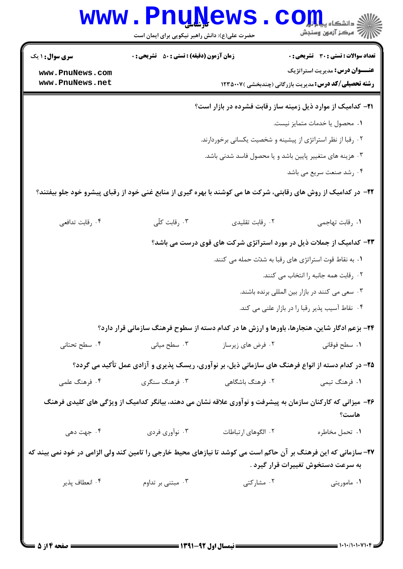|                                    | <b>www.PnuNews</b><br>حضرت علی(ع): دانش راهبر نیکویی برای ایمان است |                     | د<br>از دانشگاه پیام <mark>تور</mark><br>از مرکز آزمون وسنجش                                                                                           |  |
|------------------------------------|---------------------------------------------------------------------|---------------------|--------------------------------------------------------------------------------------------------------------------------------------------------------|--|
| <b>سری سوال : ۱ یک</b>             | <b>زمان آزمون (دقیقه) : تستی : 50 ٪ تشریحی : 0</b>                  |                     | <b>تعداد سوالات : تستی : 30 ٪ تشریحی : 0</b>                                                                                                           |  |
| www.PnuNews.com<br>www.PnuNews.net |                                                                     |                     | <b>عنـــوان درس:</b> مدیریت استراتژیک<br><b>رشته تحصیلی/کد درس:</b> مدیریت بازرگانی (چندبخشی )۱۲۳۵۰۰۷                                                  |  |
|                                    | <b>۲۱</b> - کدامیک از موارد ذیل زمینه ساز رقابت فشرده در بازار است؟ |                     |                                                                                                                                                        |  |
|                                    |                                                                     |                     | ٠١. محصول يا خدمات متمايز نيست.                                                                                                                        |  |
|                                    |                                                                     |                     | ۰۲ رقبا از نظر استراتژی از پیشینه و شخصیت یکسانی برخوردارند.                                                                                           |  |
|                                    |                                                                     |                     | ۰۳ هزینه های متغییر پایین باشد و یا محصول فاسد شدنی باشد.                                                                                              |  |
|                                    |                                                                     |                     | ۰۴ رشد صنعت سریع می باشد                                                                                                                               |  |
|                                    |                                                                     |                     | ۲۲– در کدامیک از روش های رقابتی، شرکت ها می کوشند با بهره گیری از منابع غنی خود از رقبای پیشرو خود جلو بیفتند؟                                         |  |
| ۰۴ رقابت تدافعي                    | ۰۳ رقابت کلّی                                                       | ۰۲ رقابت تقلیدی     | ٠١. رقابت تهاجمي                                                                                                                                       |  |
|                                    | ۲۳- کدامیک از جملات ذیل در مورد استراتژی شرکت های قوی درست می باشد؟ |                     |                                                                                                                                                        |  |
|                                    |                                                                     |                     | ۰۱ به نقاط قوت استراتژی های رقبا به شدّت حمله می کنند.                                                                                                 |  |
|                                    |                                                                     |                     | ٠٢ رقابت همه جانبه را انتخاب مي كنند.                                                                                                                  |  |
|                                    |                                                                     |                     | ۰۳ سعی می کنند در بازار بین المللی برنده باشند.                                                                                                        |  |
|                                    |                                                                     |                     | ۰۴ نقاط آسیب پذیر رقبا را در بازار علنی می کند.                                                                                                        |  |
|                                    |                                                                     |                     | <b>۲۴</b> - بزعم ادگار شاین، هنجارها، باورها و ارزش ها در کدام دسته از سطوح فرهنگ سازمانی قرار دارد؟                                                   |  |
| ۰۴ سطح تحتانی                      | ۰۳ سطح میانی                                                        | ۰۲ فرض های زیرساز   | ٠١ سطح فوقاني                                                                                                                                          |  |
|                                    |                                                                     |                     | ۲۵- در کدام دسته از انواع فرهنگ های سازمانی ذیل، بر نوآوری، ریسک پذیری و آزادی عمل تأکید می گردد؟                                                      |  |
| ۰۴ فرهنگ علمی                      | ۰۳ فرهنگ سنگری                                                      | ۲. فرهنگ باشگاهی    | ۱. فرهنگ تيمي                                                                                                                                          |  |
|                                    |                                                                     |                     | ۲۶- میزانی که کارکنان سازمان به پیشرفت و نوآوری علاقه نشان می دهند، بیانگر کدامیک از ویژگی های کلیدی فرهنگ<br>هاست؟                                    |  |
| ۰۴ جهت دهی                         | ۰۳ نوآوري فردي                                                      | ٢. الگوهای ارتباطات | ٠١ تحمل مخاطره                                                                                                                                         |  |
|                                    |                                                                     |                     | ۲۷- سازمانی که این فرهنگ بر آن حاکم است می کوشد تا نیازهای محیط خارجی را تامین کند ولی الزامی در خود نمی بیند که<br>به سرعت دستخوش تغییرات قرار گیرد . |  |
| ۰۴ انعطاف پذير                     | ۰۳ مبتنی بر تداوم                                                   | ۰۲ مشارکتی          | ۰۱ ماموریتی                                                                                                                                            |  |
|                                    |                                                                     |                     |                                                                                                                                                        |  |